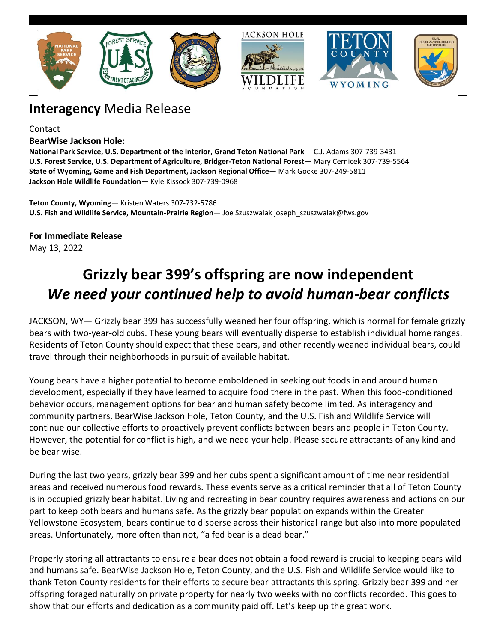

## **Interagency** Media Release

Contact

#### **BearWise Jackson Hole:**

**National Park Service, U.S. Department of the Interior, Grand Teton National Park**— C.J. Adams 307-739-3431 **U.S. Forest Service, U.S. Department of Agriculture, Bridger-Teton National Forest**— Mary Cernicek 307-739-5564 **State of Wyoming, Game and Fish Department, Jackson Regional Office**— Mark Gocke 307-249-5811 **Jackson Hole Wildlife Foundation**— Kyle Kissock 307-739-0968

**Teton County, Wyoming**— Kristen Waters 307-732-5786 **U.S. Fish and Wildlife Service, Mountain-Prairie Region**— Joe Szuszwalak joseph\_szuszwalak@fws.gov

**For Immediate Release** May 13, 2022

# **Grizzly bear 399's offspring are now independent** *We need your continued help to avoid human-bear conflicts*

JACKSON, WY— Grizzly bear 399 has successfully weaned her four offspring, which is normal for female grizzly bears with two-year-old cubs. These young bears will eventually disperse to establish individual home ranges. Residents of Teton County should expect that these bears, and other recently weaned individual bears, could travel through their neighborhoods in pursuit of available habitat.

Young bears have a higher potential to become emboldened in seeking out foods in and around human development, especially if they have learned to acquire food there in the past. When this food-conditioned behavior occurs, management options for bear and human safety become limited. As interagency and community partners, BearWise Jackson Hole, Teton County, and the U.S. Fish and Wildlife Service will continue our collective efforts to proactively prevent conflicts between bears and people in Teton County. However, the potential for conflict is high, and we need your help. Please secure attractants of any kind and be bear wise.

During the last two years, grizzly bear 399 and her cubs spent a significant amount of time near residential areas and received numerous food rewards. These events serve as a critical reminder that all of Teton County is in occupied grizzly bear habitat. Living and recreating in bear country requires awareness and actions on our part to keep both bears and humans safe. As the grizzly bear population expands within the Greater Yellowstone Ecosystem, bears continue to disperse across their historical range but also into more populated areas. Unfortunately, more often than not, "a fed bear is a dead bear."

Properly storing all attractants to ensure a bear does not obtain a food reward is crucial to keeping bears wild and humans safe. BearWise Jackson Hole, Teton County, and the U.S. Fish and Wildlife Service would like to thank Teton County residents for their efforts to secure bear attractants this spring. Grizzly bear 399 and her offspring foraged naturally on private property for nearly two weeks with no conflicts recorded. This goes to show that our efforts and dedication as a community paid off. Let's keep up the great work.